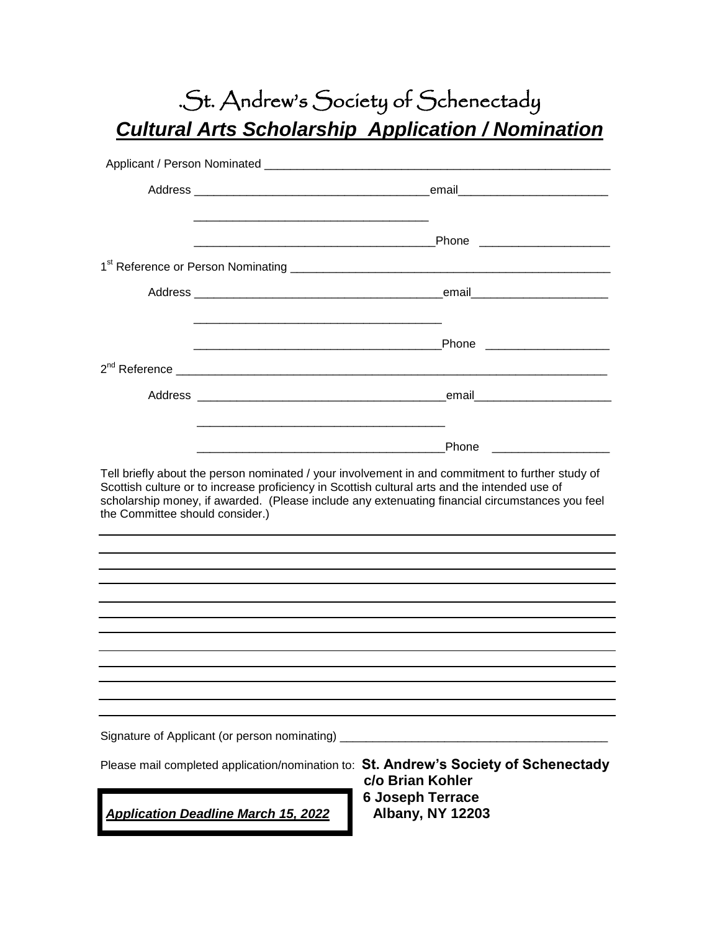## .St. Andrew's Society of Schenectady *Cultural Arts Scholarship Application / Nomination*

|                                               | <u> 1980 - Johann John Stone, mars eta biztanleria (h. 1908).</u>                                                                                                                                                                                                                                    |
|-----------------------------------------------|------------------------------------------------------------------------------------------------------------------------------------------------------------------------------------------------------------------------------------------------------------------------------------------------------|
|                                               | 1 <sup>st</sup> Reference or Person Nominating <b>1000 Community</b> 2009 12:00 Community 2009 12:00 Community 2009 12:00 Community 2009                                                                                                                                                             |
|                                               |                                                                                                                                                                                                                                                                                                      |
|                                               |                                                                                                                                                                                                                                                                                                      |
| $2nd$ Reference                               |                                                                                                                                                                                                                                                                                                      |
|                                               |                                                                                                                                                                                                                                                                                                      |
|                                               | Phone                                                                                                                                                                                                                                                                                                |
| the Committee should consider.)               | Tell briefly about the person nominated / your involvement in and commitment to further study of<br>Scottish culture or to increase proficiency in Scottish cultural arts and the intended use of<br>scholarship money, if awarded. (Please include any extenuating financial circumstances you feel |
|                                               |                                                                                                                                                                                                                                                                                                      |
|                                               |                                                                                                                                                                                                                                                                                                      |
|                                               |                                                                                                                                                                                                                                                                                                      |
|                                               |                                                                                                                                                                                                                                                                                                      |
|                                               |                                                                                                                                                                                                                                                                                                      |
|                                               |                                                                                                                                                                                                                                                                                                      |
|                                               |                                                                                                                                                                                                                                                                                                      |
|                                               |                                                                                                                                                                                                                                                                                                      |
|                                               |                                                                                                                                                                                                                                                                                                      |
| Signature of Applicant (or person nominating) |                                                                                                                                                                                                                                                                                                      |
|                                               | Please mail completed application/nomination to: St. Andrew's Society of Schenectady<br>c/o Brian Kohler                                                                                                                                                                                             |
| <b>Application Deadline March 15, 2022</b>    | <b>6 Joseph Terrace</b><br><b>Albany, NY 12203</b>                                                                                                                                                                                                                                                   |